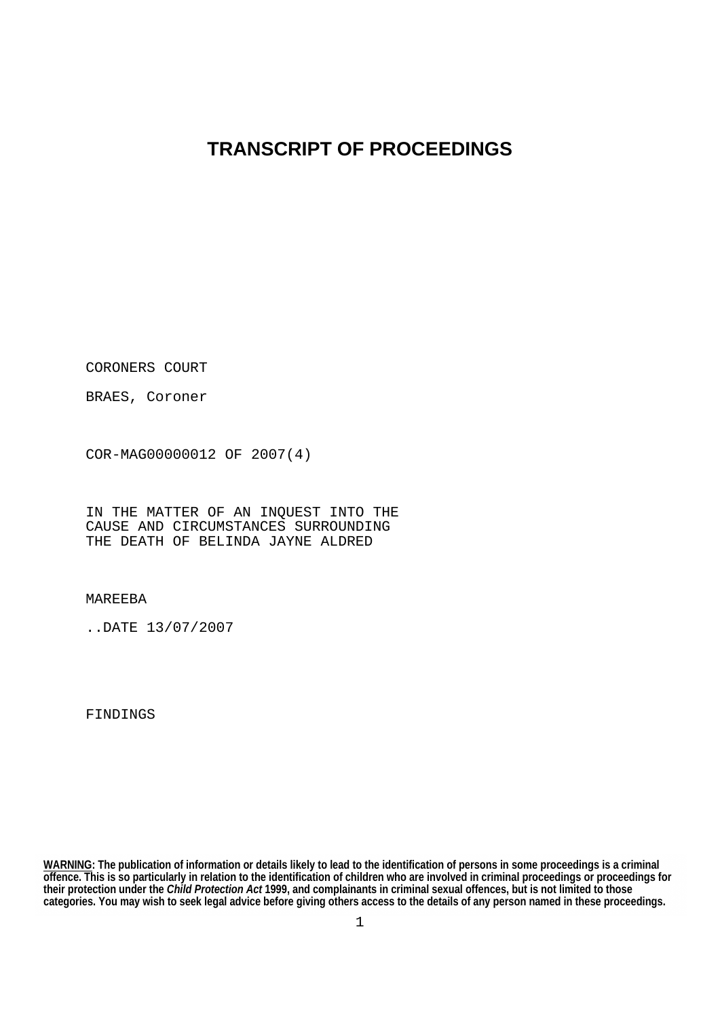## **TRANSCRIPT OF PROCEEDINGS**

CORONERS COURT

BRAES, Coroner

COR-MAG00000012 OF 2007(4)

IN THE MATTER OF AN INQUEST INTO THE CAUSE AND CIRCUMSTANCES SURROUNDING THE DEATH OF BELINDA JAYNE ALDRED

MAREEBA

..DATE 13/07/2007

FINDINGS

**WARNING: The publication of information or details likely to lead to the identification of persons in some proceedings is a criminal offence. This is so particularly in relation to the identification of children who are involved in criminal proceedings or proceedings for their protection under the** *Child Protection Act* **1999, and complainants in criminal sexual offences, but is not limited to those categories. You may wish to seek legal advice before giving others access to the details of any person named in these proceedings.**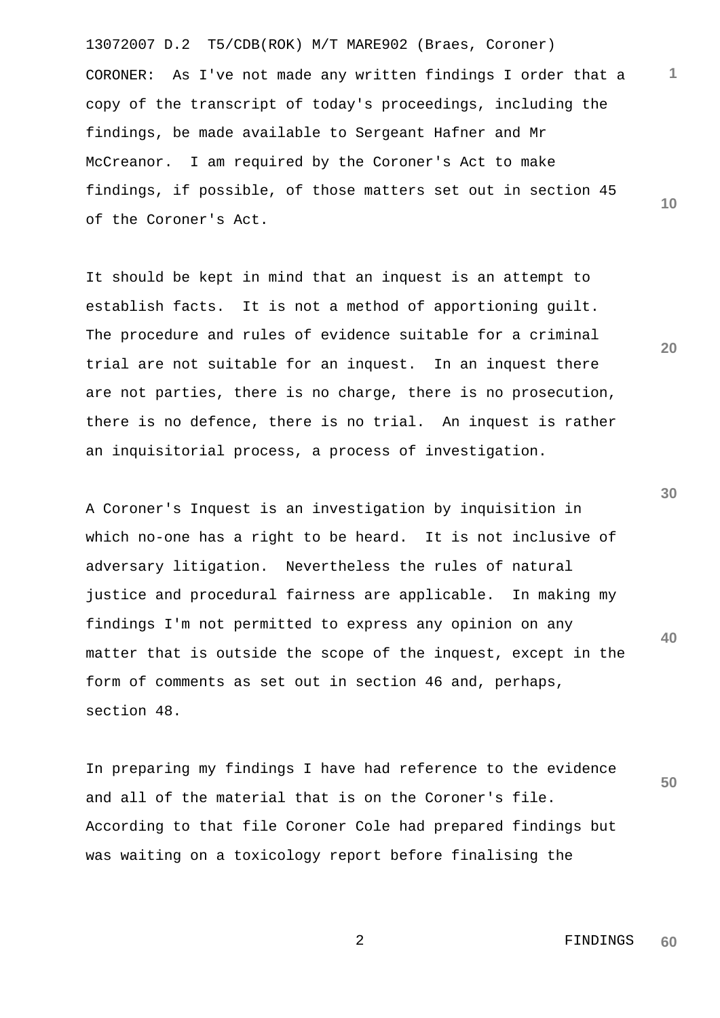13072007 D.2 T5/CDB(ROK) M/T MARE902 (Braes, Coroner) **1 10** CORONER: As I've not made any written findings I order that a copy of the transcript of today's proceedings, including the findings, be made available to Sergeant Hafner and Mr McCreanor. I am required by the Coroner's Act to make findings, if possible, of those matters set out in section 45 of the Coroner's Act.

It should be kept in mind that an inquest is an attempt to establish facts. It is not a method of apportioning guilt. The procedure and rules of evidence suitable for a criminal trial are not suitable for an inquest. In an inquest there are not parties, there is no charge, there is no prosecution, there is no defence, there is no trial. An inquest is rather an inquisitorial process, a process of investigation.

A Coroner's Inquest is an investigation by inquisition in which no-one has a right to be heard. It is not inclusive of adversary litigation. Nevertheless the rules of natural justice and procedural fairness are applicable. In making my findings I'm not permitted to express any opinion on any matter that is outside the scope of the inquest, except in the form of comments as set out in section 46 and, perhaps, section 48.

**50** In preparing my findings I have had reference to the evidence and all of the material that is on the Coroner's file. According to that file Coroner Cole had prepared findings but was waiting on a toxicology report before finalising the

**30**

**40**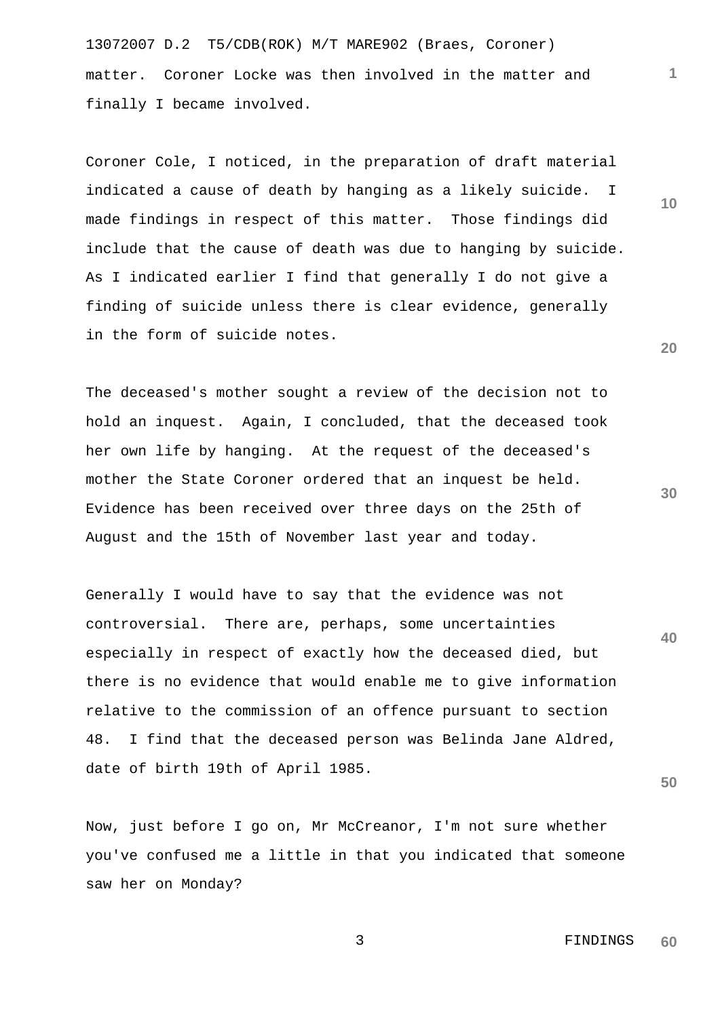13072007 D.2 T5/CDB(ROK) M/T MARE902 (Braes, Coroner) matter. Coroner Locke was then involved in the matter and finally I became involved.

Coroner Cole, I noticed, in the preparation of draft material indicated a cause of death by hanging as a likely suicide. I made findings in respect of this matter. Those findings did include that the cause of death was due to hanging by suicide. As I indicated earlier I find that generally I do not give a finding of suicide unless there is clear evidence, generally in the form of suicide notes.

The deceased's mother sought a review of the decision not to hold an inquest. Again, I concluded, that the deceased took her own life by hanging. At the request of the deceased's mother the State Coroner ordered that an inquest be held. Evidence has been received over three days on the 25th of August and the 15th of November last year and today.

Generally I would have to say that the evidence was not controversial. There are, perhaps, some uncertainties especially in respect of exactly how the deceased died, but there is no evidence that would enable me to give information relative to the commission of an offence pursuant to section 48. I find that the deceased person was Belinda Jane Aldred, date of birth 19th of April 1985.

Now, just before I go on, Mr McCreanor, I'm not sure whether you've confused me a little in that you indicated that someone saw her on Monday?

**20**

**1**

**10**

**30**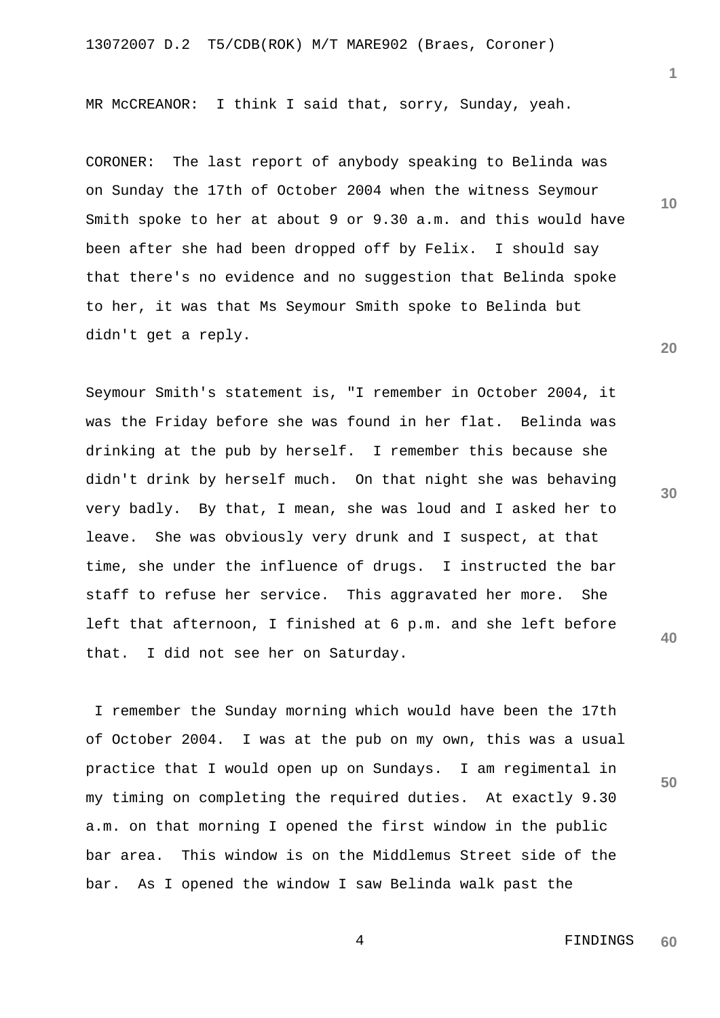MR McCREANOR: I think I said that, sorry, Sunday, yeah.

CORONER: The last report of anybody speaking to Belinda was on Sunday the 17th of October 2004 when the witness Seymour Smith spoke to her at about 9 or 9.30 a.m. and this would have been after she had been dropped off by Felix. I should say that there's no evidence and no suggestion that Belinda spoke to her, it was that Ms Seymour Smith spoke to Belinda but didn't get a reply.

Seymour Smith's statement is, "I remember in October 2004, it was the Friday before she was found in her flat. Belinda was drinking at the pub by herself. I remember this because she didn't drink by herself much. On that night she was behaving very badly. By that, I mean, she was loud and I asked her to leave. She was obviously very drunk and I suspect, at that time, she under the influence of drugs. I instructed the bar staff to refuse her service. This aggravated her more. She left that afternoon, I finished at 6 p.m. and she left before that. I did not see her on Saturday.

 I remember the Sunday morning which would have been the 17th of October 2004. I was at the pub on my own, this was a usual practice that I would open up on Sundays. I am regimental in my timing on completing the required duties. At exactly 9.30 a.m. on that morning I opened the first window in the public bar area. This window is on the Middlemus Street side of the bar. As I opened the window I saw Belinda walk past the

**20**

**10**

**30**

**40**

**50**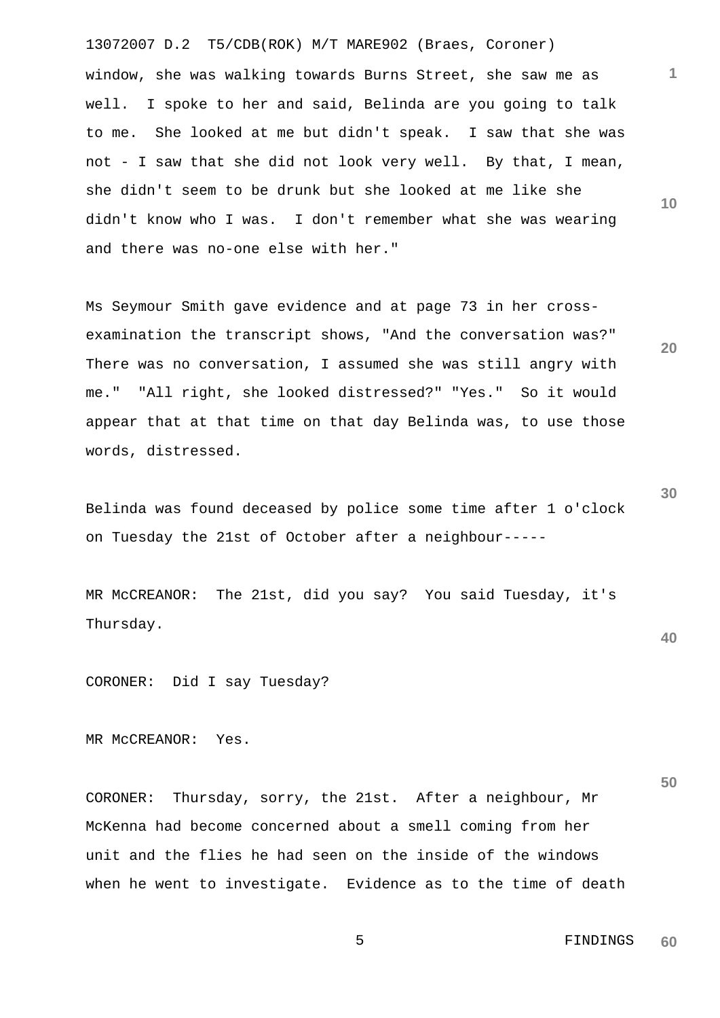13072007 D.2 T5/CDB(ROK) M/T MARE902 (Braes, Coroner) window, she was walking towards Burns Street, she saw me as well. I spoke to her and said, Belinda are you going to talk to me. She looked at me but didn't speak. I saw that she was not - I saw that she did not look very well. By that, I mean, she didn't seem to be drunk but she looked at me like she didn't know who I was. I don't remember what she was wearing and there was no-one else with her."

Ms Seymour Smith gave evidence and at page 73 in her crossexamination the transcript shows, "And the conversation was?" There was no conversation, I assumed she was still angry with me." "All right, she looked distressed?" "Yes." So it would appear that at that time on that day Belinda was, to use those words, distressed.

Belinda was found deceased by police some time after 1 o'clock on Tuesday the 21st of October after a neighbour-----

MR McCREANOR: The 21st, did you say? You said Tuesday, it's Thursday.

CORONER: Did I say Tuesday?

MR McCREANOR: Yes.

CORONER: Thursday, sorry, the 21st. After a neighbour, Mr McKenna had become concerned about a smell coming from her unit and the flies he had seen on the inside of the windows when he went to investigate. Evidence as to the time of death **30**

**1**

**10**

**20**

**40**

 5 FINDINGS **60**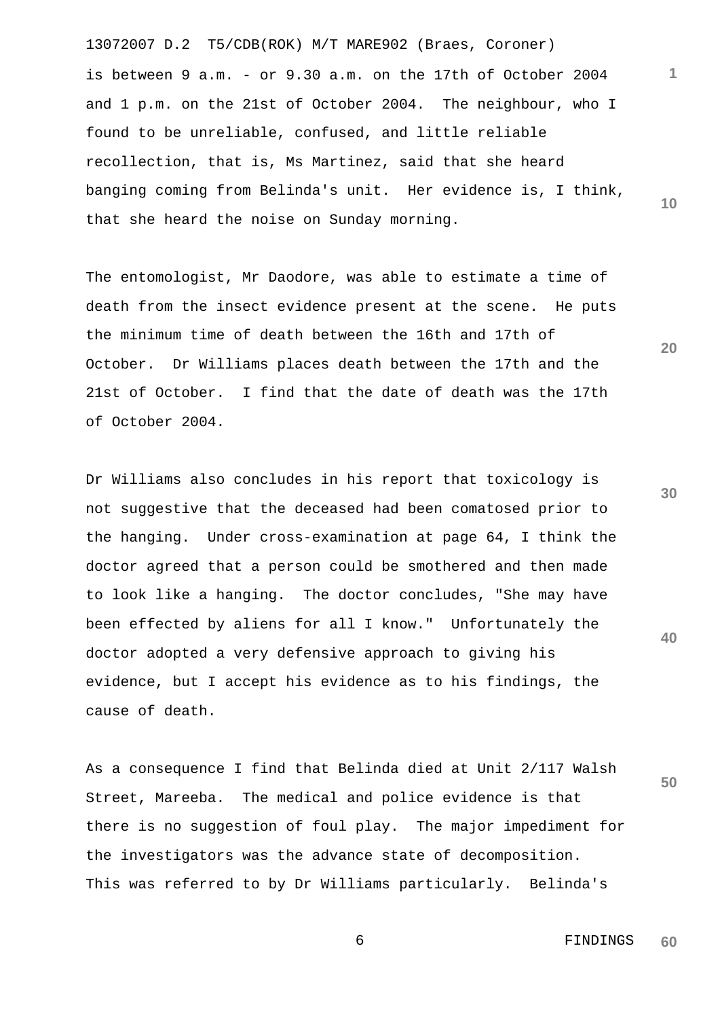13072007 D.2 T5/CDB(ROK) M/T MARE902 (Braes, Coroner) **1 10** is between 9 a.m. - or 9.30 a.m. on the 17th of October 2004 and 1 p.m. on the 21st of October 2004. The neighbour, who I found to be unreliable, confused, and little reliable recollection, that is, Ms Martinez, said that she heard banging coming from Belinda's unit. Her evidence is, I think, that she heard the noise on Sunday morning.

The entomologist, Mr Daodore, was able to estimate a time of death from the insect evidence present at the scene. He puts the minimum time of death between the 16th and 17th of October. Dr Williams places death between the 17th and the 21st of October. I find that the date of death was the 17th of October 2004.

Dr Williams also concludes in his report that toxicology is not suggestive that the deceased had been comatosed prior to the hanging. Under cross-examination at page 64, I think the doctor agreed that a person could be smothered and then made to look like a hanging. The doctor concludes, "She may have been effected by aliens for all I know." Unfortunately the doctor adopted a very defensive approach to giving his evidence, but I accept his evidence as to his findings, the cause of death.

**50** As a consequence I find that Belinda died at Unit 2/117 Walsh Street, Mareeba. The medical and police evidence is that there is no suggestion of foul play. The major impediment for the investigators was the advance state of decomposition. This was referred to by Dr Williams particularly. Belinda's

**20**

**30**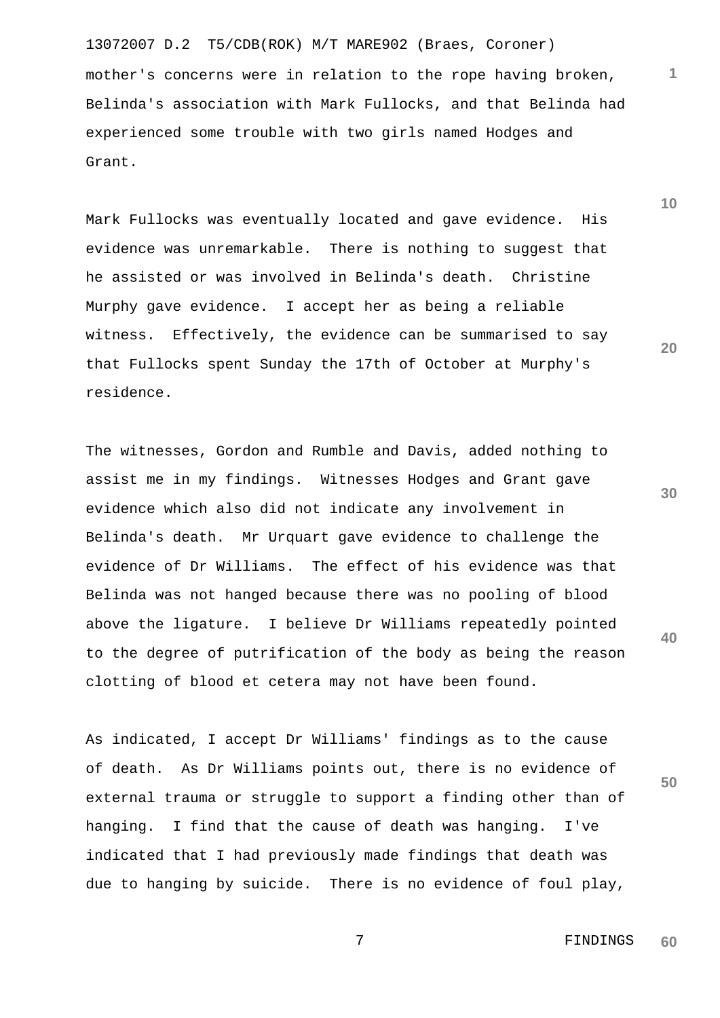13072007 D.2 T5/CDB(ROK) M/T MARE902 (Braes, Coroner) mother's concerns were in relation to the rope having broken, Belinda's association with Mark Fullocks, and that Belinda had experienced some trouble with two girls named Hodges and Grant.

Mark Fullocks was eventually located and gave evidence. His evidence was unremarkable. There is nothing to suggest that he assisted or was involved in Belinda's death. Christine Murphy gave evidence. I accept her as being a reliable witness. Effectively, the evidence can be summarised to say that Fullocks spent Sunday the 17th of October at Murphy's residence.

The witnesses, Gordon and Rumble and Davis, added nothing to assist me in my findings. Witnesses Hodges and Grant gave evidence which also did not indicate any involvement in Belinda's death. Mr Urquart gave evidence to challenge the evidence of Dr Williams. The effect of his evidence was that Belinda was not hanged because there was no pooling of blood above the ligature. I believe Dr Williams repeatedly pointed to the degree of putrification of the body as being the reason clotting of blood et cetera may not have been found.

As indicated, I accept Dr Williams' findings as to the cause of death. As Dr Williams points out, there is no evidence of external trauma or struggle to support a finding other than of hanging. I find that the cause of death was hanging. I've indicated that I had previously made findings that death was due to hanging by suicide. There is no evidence of foul play, **10**

**1**

**20**

**50**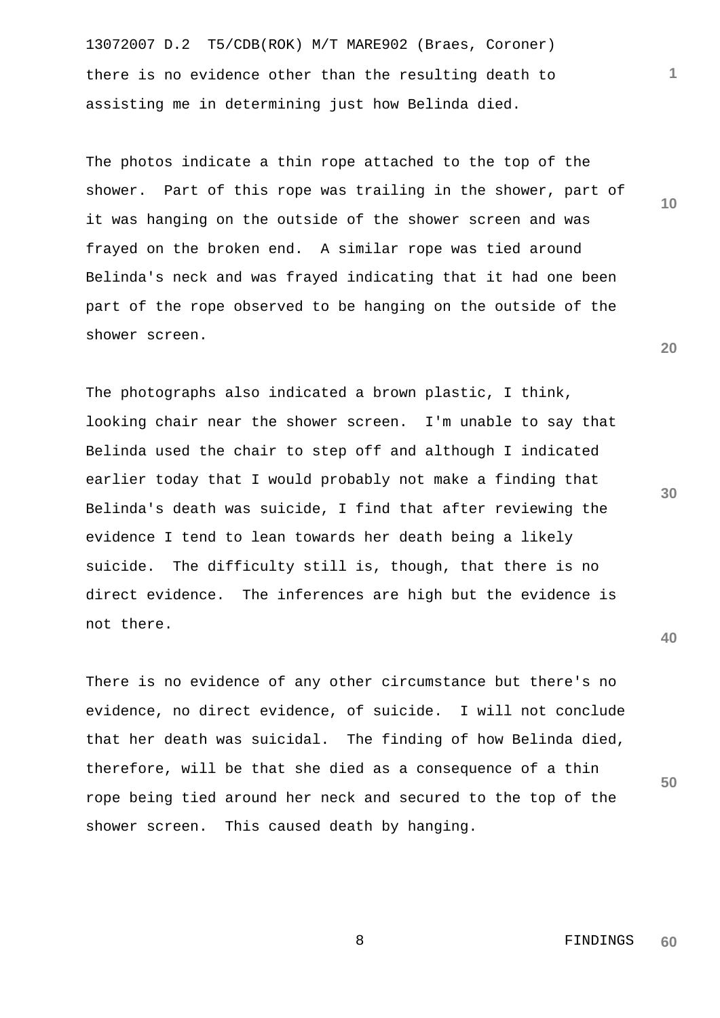13072007 D.2 T5/CDB(ROK) M/T MARE902 (Braes, Coroner) there is no evidence other than the resulting death to assisting me in determining just how Belinda died.

The photos indicate a thin rope attached to the top of the shower. Part of this rope was trailing in the shower, part of it was hanging on the outside of the shower screen and was frayed on the broken end. A similar rope was tied around Belinda's neck and was frayed indicating that it had one been part of the rope observed to be hanging on the outside of the shower screen.

The photographs also indicated a brown plastic, I think, looking chair near the shower screen. I'm unable to say that Belinda used the chair to step off and although I indicated earlier today that I would probably not make a finding that Belinda's death was suicide, I find that after reviewing the evidence I tend to lean towards her death being a likely suicide. The difficulty still is, though, that there is no direct evidence. The inferences are high but the evidence is not there.

There is no evidence of any other circumstance but there's no evidence, no direct evidence, of suicide. I will not conclude that her death was suicidal. The finding of how Belinda died, therefore, will be that she died as a consequence of a thin rope being tied around her neck and secured to the top of the shower screen. This caused death by hanging.

**10**

**1**

**20**

**30**

**40**